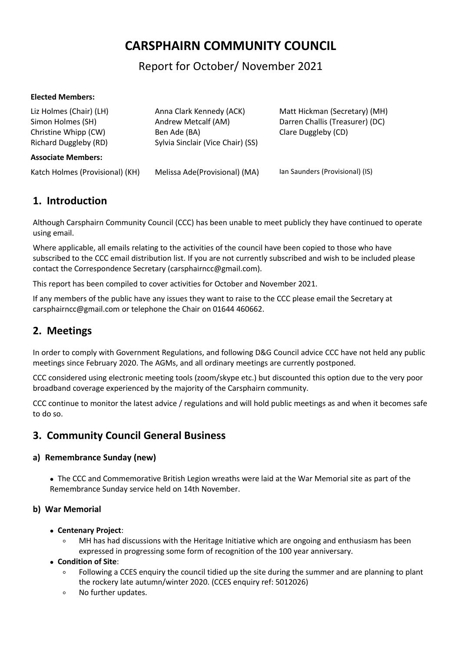# **CARSPHAIRN COMMUNITY COUNCIL**

Report for October/ November 2021

### **Elected Members:**

| Liz Holmes (Chair) (LH)<br>Simon Holmes (SH)<br>Christine Whipp (CW)<br>Richard Duggleby (RD) | Anna Clark Kennedy (ACK)<br>Andrew Metcalf (AM)<br>Ben Ade (BA)<br>Sylvia Sinclair (Vice Chair) (SS) | Matt Hickman (Secretary) (MH)<br>Darren Challis (Treasurer) (DC)<br>Clare Duggleby (CD) |
|-----------------------------------------------------------------------------------------------|------------------------------------------------------------------------------------------------------|-----------------------------------------------------------------------------------------|
| Associate Members:                                                                            |                                                                                                      |                                                                                         |
| Katch Holmes (Provisional) (KH)                                                               | Melissa Ade(Provisional) (MA)                                                                        | Ian Saunders (Provisional) (IS)                                                         |

## **1. Introduction**

Although Carsphairn Community Council (CCC) has been unable to meet publicly they have continued to operate using email.

Where applicable, all emails relating to the activities of the council have been copied to those who have subscribed to the CCC email distribution list. If you are not currently subscribed and wish to be included please contact the Correspondence Secretary [\(carsphairncc@gmail.com\)](mailto:carsphairncc@gmail.com).

This report has been compiled to cover activities for October and November 2021.

If any members of the public have any issues they want to raise to the CCC please email the Secretary at [carsphairncc@gmail.com](mailto:carsphairncc@gmail.com) or telephone the Chair on 01644 460662.

## **2. Meetings**

In order to comply with Government Regulations, and following D&G Council advice CCC have notheld any public meetings since February 2020. The AGMs, and all ordinary meetings are currently postponed.

CCC considered using electronic meeting tools (zoom/skype etc.) but discounted this option due to the very poor broadband coverage experienced by the majority of the Carsphairn community.

CCC continue to monitor the latest advice / regulations and will hold public meetings as and when it becomes safe to do so.

## **3. Community Council General Business**

## **a) Remembrance Sunday (new)**

 The CCC and Commemorative British Legion wreaths were laid at the War Memorial site as part of the Remembrance Sunday service held on 14th November.

## **b) War Memorial**

## **Centenary Project**:

MH has had discussions with the Heritage Initiative which are ongoing and enthusiasm has been expressed in progressing some form of recognition of the 100 year anniversary.

## **Condition of Site**:

- Following a CCES enquiry the council tidied up the site during the summer and are planning to plant the rockery late autumn/winter 2020. (CCES enquiry ref: 5012026)
- No further updates.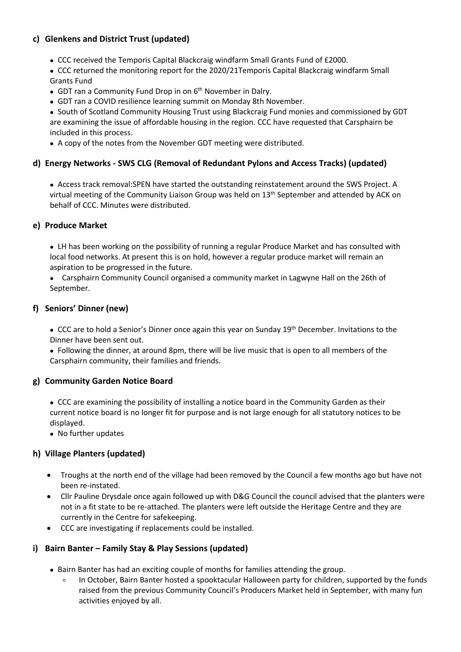## **c) Glenkens and District Trust (updated)**

- CCC received the Temporis Capital Blackcraig windfarm Small Grants Fund of £2000.
- CCC returned the monitoring report for the 2020/21Temporis Capital Blackcraig windfarm Small Grants Fund
- GDT ran a Community Fund Drop in on 6<sup>th</sup> November in Dalry.
- GDT ran a COVID resilience learning summit on Monday 8th November.

• South of Scotland Community Housing Trust using Blackcraig Fund monies and commissioned by GDT are examining the issue of affordable housing in the region. CCC have requested that Carsphairn be included in this process.

A copy of the notes from the November GDT meeting were distributed.

## **d) Energy Networks - SWS CLG (Removal of Redundant Pylons and Access Tracks) (updated)**

 Access track removal:SPEN have started the outstanding reinstatement around the SWS Project. A virtual meeting of the Community Liaison Group was held on 13<sup>th</sup> September and attended by ACK on behalf of CCC. Minutes were distributed.

## **e) Produce Market**

 LH has been working on the possibility of running a regular Produce Market and has consulted with local food networks. At present this is on hold, however a regular produce market will remain an aspiration to be progressed in the future.

 Carsphairn Community Council organised a community market in Lagwyne Hall on the 26th of September.

## **f) Seniors' Dinner (new)**

• CCC are to hold a Senior's Dinner once again this year on Sunday 19<sup>th</sup> December. Invitations to the Dinner have been sent out.

 Following the dinner, at around 8pm, there will be live music that is open to all members of the Carsphairn community, their families and friends.

## **g) Community Garden Notice Board**

 CCC are examining the possibility of installing a notice board in the Community Garden as their current notice board is no longer fit for purpose and is not large enough for all statutory notices to be displayed.

• No further updates

## **h) Village Planters (updated)**

- Troughs at the north end of the village had been removed by the Council a few months ago but have not been re-instated.
- Cllr Pauline Drysdale once again followed up with D&G Council the council advised that the planters were not in a fit state to be re-attached. The planters were left outside the Heritage Centre and they are currently in the Centre for safekeeping.
- CCC are investigating if replacements could be installed.

## **i) Bairn Banter – Family Stay & Play Sessions (updated)**

- Bairn Banter has had an exciting couple of months for families attending the group.
	- In October, Bairn Banter hosted a spooktacular Halloween party for children, supported by the funds raised from the previous Community Council's Producers Market held in September, with many fun activities enjoyed by all.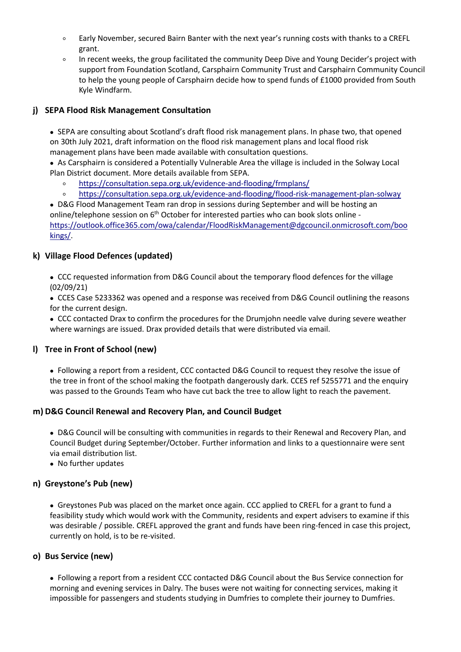- Early November, secured Bairn Banter with the next year's running costs with thanks to a CREFL grant.
- In recent weeks, the group facilitated the community Deep Dive and Young Decider's project with support from Foundation Scotland, Carsphairn Community Trust and Carsphairn Community Council to help the young people of Carsphairn decide how to spend funds of £1000 provided from South Kyle Windfarm.

## **j) SEPA Flood Risk Management Consultation**

• SEPA are consulting about Scotland's draft flood risk management plans. In phase two, that opened on 30th July 2021, draft information on the flood risk management plans and local flood risk management plans have been made available with consultation questions.

 As Carsphairn is considered a Potentially Vulnerable Area the village is included in the Solway Local Plan District document. More details available from SEPA.

- <https://consultation.sepa.org.uk/evidence-and-flooding/frmplans/>
- <https://consultation.sepa.org.uk/evidence-and-flooding/flood-risk-management-plan-solway>

 D&G Flood Management Team ran drop in sessions during September and will be hosting an online/telephone session on 6<sup>th</sup> October for interested parties who can book slots online [https://outlook.office365.com/owa/calendar/FloodRiskManagement@dgcouncil.onmicrosoft.com/boo](https://outlook.office365.com/owa/calendar/FloodRiskManagement@dgcouncil.onmicrosoft.com/bookings/) kings/.

### **k) Village Flood Defences (updated)**

 CCC requested information from D&G Council about the temporary flood defences for the village (02/09/21)

 CCES Case 5233362 was opened and a response was received from D&G Council outlining the reasons for the current design.

 CCC contacted Drax to confirm the procedures for the Drumjohn needle valve during severe weather where warnings are issued. Drax provided details that were distributed via email.

### **l) Tree in Front of School (new)**

• Following a report from a resident, CCC contacted D&G Council to request they resolve the issue of the tree in front of the school making the footpath dangerously dark. CCES ref 5255771 and the enquiry was passed to the Grounds Team who have cut back the tree to allow light to reach the pavement.

### **m) D&G Council Renewal and Recovery Plan, and Council Budget**

 D&G Council will be consulting with communities in regards to their Renewal and Recovery Plan, and Council Budget during September/October. Further information and links to a questionnaire were sent via email distribution list.

• No further updates

### **n) Greystone's Pub (new)**

• Greystones Pub was placed on the market once again. CCC applied to CREFL for a grant to fund a feasibility study which would work with the Community, residents and expert advisers to examine if this was desirable / possible. CREFL approved the grant and funds have been ring-fenced in case this project, currently on hold, is to be re-visited.

### **o) Bus Service (new)**

• Following a report from a resident CCC contacted D&G Council about the Bus Service connection for morning and evening services in Dalry. The buses were not waiting for connecting services, making it impossible for passengers and students studying in Dumfries to complete their journey to Dumfries.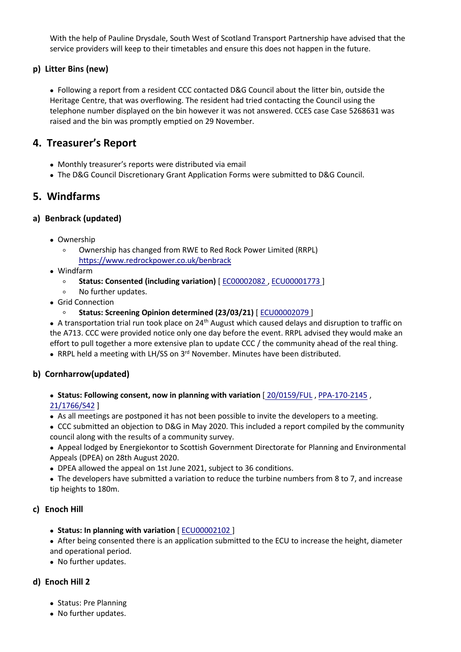With the help of Pauline Drysdale, South West of Scotland Transport Partnership have advised that the service providers will keep to their timetables and ensure this does not happen in the future.

## **p) Litter Bins (new)**

• Following a report from a resident CCC contacted D&G Council about the litter bin, outside the Heritage Centre, that was overflowing. The resident had tried contacting the Council using the telephone number displayed on the bin however it was not answered. CCES case Case 5268631 was raised and the bin was promptly emptied on 29 November.

## **4. Treasurer's Report**

- Monthly treasurer's reports were distributed via email
- The D&G Council Discretionary Grant Application Forms were submitted to D&G Council.

## **5. Windfarms**

## **a) Benbrack (updated)**

- Ownership
	- Ownership has changed from RWE to Red Rock Power Limited (RRPL) <https://www.redrockpower.co.uk/benbrack>
- Windfarm
	- **Status: Consented (including variation)** [ [EC00002082](http://www.energyconsents.scot/ApplicationDetails.aspx?cr=EC00002082) , [ECU00001773](http://www.energyconsents.scot/ApplicationDetails.aspx?cr=ECU00001773) ]
	- No further updates.
- Grid Connection
	- **Status: Screening Opinion determined (23/03/21)** [ [ECU00002079](http://www.energyconsents.scot/ApplicationDetails.aspx?cr=ECU00002079) ]

 $\bullet$  A transportation trial run took place on 24<sup>th</sup> August which caused delays and disruption to traffic on the A713. CCC were provided notice only one day before the event. RRPL advised they would make an effort to pull together a more extensive plan to update CCC / the community ahead of the real thing.

• RRPL held a meeting with LH/SS on 3<sup>rd</sup> November. Minutes have been distributed.

## **b) Cornharrow(updated)**

- **Status: Following consent, now in planning with variation** [ [20/0159/FUL](https://eaccess.dumgal.gov.uk/online-applications/applicationDetails.do?keyVal=Q4ZCPSGBFVQ00&activeTab=summary) , [PPA-170-2145](https://dpea.scotland.gov.uk/CaseDetails.aspx?ID=121159) , [21/1766/S42](https://eaccess.dumgal.gov.uk/online-applications/applicationDetails.do?activeTab=summary&keyVal=QY52TJGBJIR00) ]
- As all meetings are postponed it has not been possible to invite the developers to a meeting.
- CCC submitted an objection to D&G in May 2020. This included a report compiled by the community council along with the results of a community survey.

 Appeal lodged by Energiekontor to Scottish Government Directorate for Planning and Environmental Appeals (DPEA) on 28th August 2020.

DPEA allowed the appeal on 1st June 2021, subject to 36 conditions.

 The developers have submitted a variation to reduce the turbine numbers from 8 to 7, and increase tip heights to 180m.

### **c) Enoch Hill**

**Status: In planning with variation** [ [ECU00002102](http://www.energyconsents.scot/ApplicationDetails.aspx?cr=ECU00002102) ]

 After being consented there is an application submitted to the ECU to increase the height, diameter and operational period.

• No further updates.

## **d) Enoch Hill 2**

- Status: Pre Planning
- No further updates.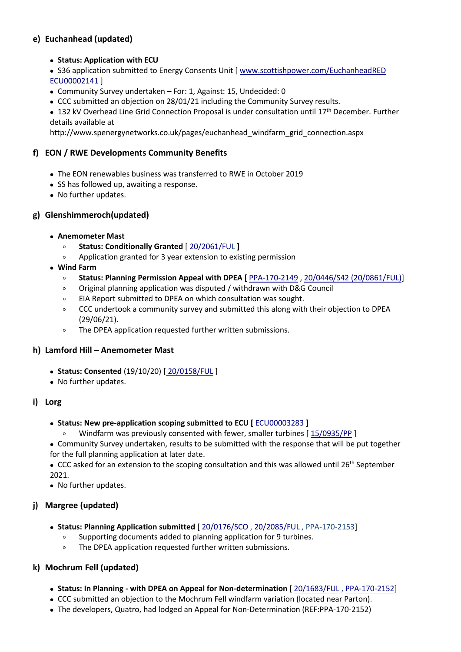## **e) Euchanhead (updated)**

- **Status: Application with ECU**
- S36 application submitted to Energy Consents Unit [ [www.scottishpower.com/EuchanheadRED](http://www.scottishpower.com/EuchanheadRED) [ECU00002141](http://www.energyconsents.scot/ApplicationDetails.aspx?cr=ECU00002141) ]
- Community Survey undertaken For: 1, Against: 15, Undecided: 0
- CCC submitted an objection on 28/01/21 including the Community Survey results.
- 132 kV Overhead Line Grid Connection Proposal is under consultation until 17<sup>th</sup> December. Further details available at
- http://www.spenergynetworks.co.uk/pages/euchanhead\_windfarm\_grid\_connection.aspx

### **f) EON / RWE Developments Community Benefits**

- The EON renewables business was transferred to RWE in October 2019
- SS has followed up, awaiting a response.
- No further updates.

### **g) Glenshimmeroch(updated)**

- **Anemometer Mast**
	- **Status: Conditionally Granted** [ [20/2061/FUL](https://eaccess.dumgal.gov.uk/online-applications/applicationDetails.do?activeTab=summary&keyVal=QKNCPSGBHQ700) **]**
	- Application granted for 3 year extension to existing permission
- **Wind Farm**
	- **Status: Planning Permission Appeal with DPEA [** [PPA-170-2149](https://www.dpea.scotland.gov.uk/CaseDetails.aspx?id=121370) , 20/0446/S42 [\(20/0861/FUL\)\]](https://eaccess.dumgal.gov.uk/online-applications/applicationDetails.do?activeTab=summary&keyVal=Q74S6BGBH5U00)
	- Original planning application was disputed / withdrawn with D&G Council
	- EIA Report submitted to DPEA on which consultation was sought.
	- CCC undertook a community survey and submitted this along with their objection to DPEA (29/06/21).
	- The DPEA application requested further written submissions.

## **h) Lamford Hill – Anemometer Mast**

- **Status: Consented** (19/10/20) [ [20/0158/FUL](https://eaccess.dumgal.gov.uk/online-applications/applicationDetails.do?keyVal=Q4Z0HBGBFV500&activeTab=summary) ]
- No further updates.

## **i) Lorg**

- **Status: New pre-application scoping submitted to ECU [** [ECU00003283](http://www.energyconsents.scot/ApplicationDetails.aspx?cr=ECU00003283) **]**
	- Windfarm was previously consented with fewer, smaller turbines [[15/0935/PP](https://eplanning.east-ayrshire.gov.uk/online/applicationDetails.do?activeTab=summary&keyVal=NYW4F0GFGG300)]

 Community Survey undertaken, results to be submitted with the response that will be put together for the full planning application at later date.

• CCC asked for an extension to the scoping consultation and this was allowed until 26<sup>th</sup> September 2021.

• No further updates.

## **j) Margree (updated)**

- **Status: Planning Application submitted** [ [20/0176/SCO](https://eaccess.dumgal.gov.uk/online-applications/applicationDetails.do?activeTab=documents&keyVal=Q54VBMGB00A00) , [20/2085/FUL](https://eaccess.dumgal.gov.uk/online-applications/applicationDetails.do?activeTab=documents&keyVal=QKSWONGBHVB00) , [PPA-170-2153](https://dpea.scotland.gov.uk/CaseDetails.aspx?ID=121751)]
	- Supporting documents added to planning application for 9 turbines.
	- The DPEA application requested further written submissions.

## **k) Mochrum Fell (updated)**

- **Status: In Planning -with DPEA onAppeal for Non-determination** [ [20/1683/FUL](https://eaccess.dumgal.gov.uk/online-applications/applicationDetails.do?activeTab=summary&keyVal=QHIS9OGBFOH00) , [PPA-170-2152\]](https://dpea.scotland.gov.uk/CaseDetails.aspx?ID=121722 )
- CCC submitted an objection to the Mochrum Fell windfarm variation (located near Parton).
- The developers, Quatro, had lodged an Appeal for Non-Determination (REF:PPA-170-2152)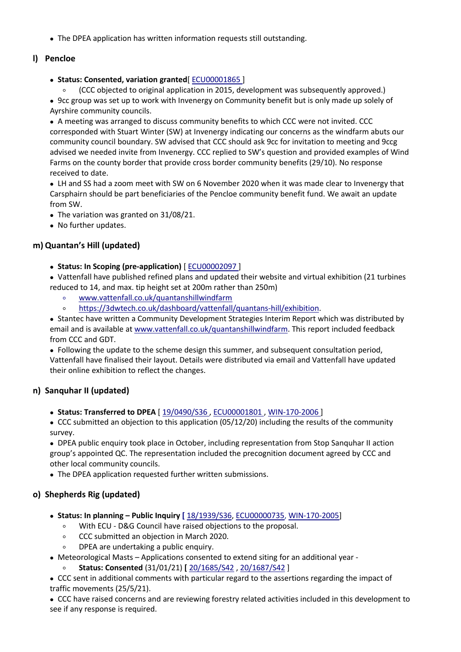The DPEA application has written information requests still outstanding.

## **l) Pencloe**

**Status: Consented, variation granted**[ [ECU00001865](http://www.energyconsents.scot/ApplicationDetails.aspx?cr=ECU00001865) ]

○ (CCC objected to original application in 2015, development was subsequently approved.)

 9cc group was set up to work with Invenergy on Community benefit but is only made up solely of Ayrshire community councils.

 A meeting was arranged to discuss community benefits to which CCC were not invited. CCC corresponded with Stuart Winter (SW) at Invenergy indicating our concerns as the windfarm abuts our community council boundary. SW advised that CCC should ask 9cc forinvitation to meeting and 9ccg advised we needed invite from Invenergy. CCC replied to SW's question and provided examples of Wind Farms on the county border that provide cross border community benefits (29/10). No response received to date.

• LH and SS had a zoom meet with SW on 6 November 2020 when it was made clear to Invenergy that Carsphairn should be part beneficiaries of the Pencloe community benefit fund. We await an update from SW.

• The variation was granted on 31/08/21.

• No further updates.

## **m) Quantan's Hill (updated)**

**Status: In Scoping (pre-application)** [ [ECU00002097](http://www.energyconsents.scot/ApplicationDetails.aspx?cr=ECU00002097) ]

 Vattenfall have published refined plans and updated their website and virtual exhibition (21 turbines reduced to 14, and max. tip height set at 200m rather than 250m)

- [www.vattenfall.co.uk/quantanshillwindfarm](http://www.vattenfall.co.uk/quantanshillwindfarm)
- <https://3dwtech.co.uk/dashboard/vattenfall/quantans-hill/exhibition>.

 Stantec have written a Community Development Strategies Interim Report which was distributed by email and is available at [www.vattenfall.co.uk/quantanshillwindfarm.](http://www.vattenfall.co.uk/quantanshillwindfarm) This report included feedback from CCC and GDT.

 Following the update to the scheme design this summer, and subsequent consultation period, Vattenfall have finalised their layout. Details were distributed via email and Vattenfall have updated their online exhibition to reflect the changes.

## **n) Sanquhar II (updated)**

**Status: Transferred to DPEA** [ [19/0490/S36](https://eaccess.dumgal.gov.uk/online-applications/applicationDetails.do?activeTab=summary&keyVal=PP16U4GB00A00) , [ECU00001801](http://www.energyconsents.scot/ApplicationDetails.aspx?cr=ECU00001801) , [WIN-170-2006](http://dpea.scotland.gov.uk/CaseDetails.aspx?id=121337&T=3) ]

 CCC submitted an objection to this application (05/12/20) including the results of the community survey.

 DPEA public enquiry took place in October, including representation from Stop Sanquhar II action group's appointed QC. The representation included the precognition document agreed by CCC and other local community councils.

The DPEA application requested further written submissions.

## **o) Shepherds Rig (updated)**

- **Status: In planning – Public Inquiry [** [18/1939/S36](https://eaccess.dumgal.gov.uk/online-applications/applicationDetails.do?activeTab=documents&keyVal=PK1BNQGB00A00), [ECU00000735](https://www.energyconsents.scot/ApplicationDetails.aspx?cr=ECU00000735), [WIN-170-2005](http://www.dpea.scotland.gov.uk/CaseDetails.aspx?ID=121226)]
	- With ECU D&G Council have raised objections to the proposal.
	- CCC submitted an objection in March 2020.
	- DPEA are undertaking a public enquiry.
- Meteorological Masts Applications consented to extend siting for an additional year
	- **Status: Consented** (31/01/21) **[** [20/1685/S42](https://eaccess.dumgal.gov.uk/online-applications/applicationDetails.do?activeTab=summary&keyVal=QHJ4Q2GBFOX00) , [20/1687/S42](https://eaccess.dumgal.gov.uk/online-applications/centralDistribution.do?caseType=Application&keyVal=QHJ4Q8GBFP300) ]

 CCC sent in additional comments with particular regard to the assertions regarding the impact of traffic movements (25/5/21).

 CCC have raised concerns and are reviewing forestry related activities included in this development to see if any response is required.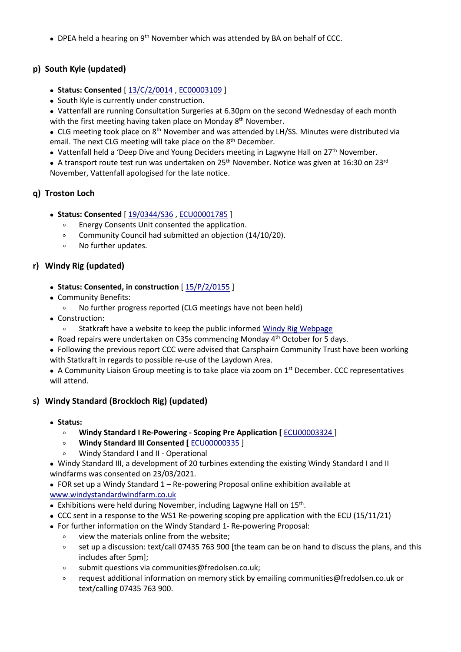• DPEA held a hearing on 9<sup>th</sup> November which was attended by BA on behalf of CCC.

## **p) South Kyle (updated)**

- **Status: Consented** [ [13/C/2/0014](https://eaccess.dumgal.gov.uk/online-applications/applicationDetails.do?keyVal=ZZZW6OGBTA592&activeTab=summary) , [EC00003109](http://www.energyconsents.scot/ApplicationDetails.aspx?cr=EC00003109) ]
- South Kyle is currently under construction.

 Vattenfall are running Consultation Surgeries at 6.30pm on the second Wednesday of each month with the first meeting having taken place on Monday 8<sup>th</sup> November.

• CLG meeting took place on  $8<sup>th</sup>$  November and was attended by LH/SS. Minutes were distributed via email. The next CLG meeting will take place on the 8<sup>th</sup> December.

• Vattenfall held a 'Deep Dive and Young Deciders meeting in Lagwyne Hall on 27<sup>th</sup> November.

• A transport route test run was undertaken on 25<sup>th</sup> November. Notice was given at 16:30 on 23<sup>rd</sup> November, Vattenfall apologised for the late notice.

## **q) Troston Loch**

- **Status: Consented** [ [19/0344/S36](https://eaccess.dumgal.gov.uk/online-applications/applicationDetails.do?keyVal=PNWLDGGB00A00&activeTab=summary) , [ECU00001785](http://www.energyconsents.scot/ApplicationDetails.aspx?cr=ECU00001785) ]
	- Energy Consents Unit consented the application.
	- Community Council had submitted an objection (14/10/20).
	- No further updates.

### **r) Windy Rig (updated)**

- **Status: Consented, in construction** [ [15/P/2/0155](https://eaccess.dumgal.gov.uk/online-applications/applicationDetails.do?keyVal=ZZZW6IGBTA826&activeTab=summary) ]
- Community Benefits:
	- No further progress reported (CLG meetings have not been held)
- Construction:
	- Statkraft have a website to keep the public informed Windy Rig [Webpage](https://www.statkraft.co.uk/power-generation/onshore-wind/windyrig/)
- Road repairs were undertaken on C35s commencing Monday 4<sup>th</sup> October for 5 days.

 Following the previous report CCC were advised that Carsphairn Community Trust have been working with Statkraft in regards to possible re-use of the Laydown Area.

• A Community Liaison Group meeting is to take place via zoom on 1<sup>st</sup> December. CCC representatives will attend.

### **s) Windy Standard (Brockloch Rig) (updated)**

- **Status:**
	- **Windy Standard I Re-Powering - Scoping Pre Application [** [ECU00003324](https://www.energyconsents.scot/ApplicationDetails.aspx?cr=ECU00003324) ]
	- **Windy Standard III Consented [** [ECU00000335](https://www.energyconsents.scot/ApplicationDetails.aspx?cr=ECU00000335) ]
	- Windy Standard I and II Operational

 Windy Standard III, a development of 20 turbines extending the existing Windy Standard I and II windfarms was consented on 23/03/2021.

 FOR set up a Windy Standard 1 – Re-powering Proposal online exhibition available at [www.windystandardwindfarm.co.uk](http://www.windystandardwindfarm.co.uk/)

- Exhibitions were held during November, including Lagwyne Hall on 15<sup>th</sup>. .
- CCC sent in a response to the WS1 Re-powering scoping pre application with the ECU (15/11/21)
- For further information on the Windy Standard 1- Re-powering Proposal:
	- view the materials online from the website;
	- set up a discussion: text/call 07435 763 900 [the team can be on hand to discuss the plans, and this includes after 5pm];
	- submit questions via communities@fredolsen.co.uk;
	- request additional information on memory stick by emailing communities@fredolsen.co.uk or text/calling 07435 763 900.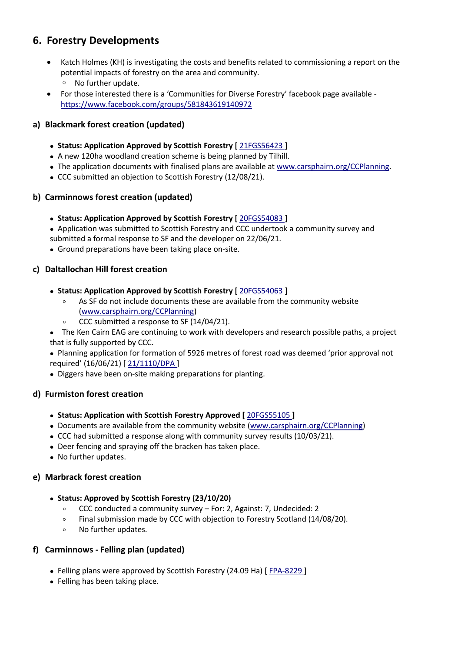## **6. Forestry Developments**

- Katch Holmes (KH) is investigating the costs and benefits related to commissioning a report on the potential impacts of forestry on the area and community. ◦ No further update.
- For those interested there is a 'Communities for Diverse Forestry' facebook page available <https://www.facebook.com/groups/581843619140972>

## **a) Blackmark forest creation (updated)**

- **Status: Application Approved byScottish Forestry [** [21FGS56423](https://casebook.forestry.scot/w/webpage/805BECBF1?context_record_id=19252541&webpage_token=73352a2f512277713e864bab3a5e94870d21c81badb2669fc87ee63e0c3bd1da) **]**
- A new 120ha woodland creation scheme is being planned by Tilhill.
- The application documents with finalised plans are available at [www.carsphairn.org/CCPlanning.](http://www.carsphairn.org/CCPlanning)
- CCC submitted an objection to Scottish Forestry (12/08/21).

## **b) Carminnows forest creation (updated)**

- **Status: Application Approved byScottish Forestry [** [20FGS54083](https://casebook.forestry.scot/w/webpage/805BECBF1?context_record_id=11819919&webpage_token=fd6b343046c423b03e154e829d3ab69e0e9b60213cf7956edcb1abe7cda33938) **]**
- Application was submitted to Scottish Forestry and CCC undertook a community survey and submitted a formal response to SF and the developer on 22/06/21.
- Ground preparations have been taking place on-site.

### **c) Daltallochan Hill forest creation**

- **Status: Application Approved byScottish Forestry [** [20FGS54063](https://casebook.forestry.scot/w/webpage/805BECBF1?context_record_id=11819463&webpage_token=58f0ebee066c30c9be805ac20ba51c26ee96f2fac2d0500b6123c7dd36dda625) **]**
	- As SF do not include documents these are available from the community website [\(www.carsphairn.org/CCPlanning\)](http://www.carsphairn.org/CCPlanning)
	- CCC submitted a response to SF (14/04/21).
- The Ken Cairn EAG are continuing to work with developers and research possible paths, a project that is fully supported by CCC.

 Planning application for formation of 5926 metres of forest road was deemed 'prior approval not required' (16/06/21) [ [21/1110/DPA](https://eaccess.dumgal.gov.uk/online-applications/applicationDetails.do?activeTab=summary&keyVal=QTNULAGB00A00) ]

Diggers have been on-site making preparations for planting.

## **d) Furmiston forest creation**

- **Status: Application with Scottish Forestry Approved [** [20FGS55105](https://casebook.forestry.scot/w/webpage/805BECBF1?context_record_id=14356101&webpage_token=bd11fe8c312ca3989b3653218fb50eeaf782312c3cd0c1e0bc3e5291a6b2f42a) **]**
- Documents are available from the community website [\(www.carsphairn.org/CCPlanning\)](http://www.carsphairn.org/CCPlanning)
- CCC had submitted a response along with community survey results (10/03/21).
- Deer fencing and spraying off the bracken has taken place.
- No further updates.

## **e) Marbrack forest creation**

### **Status: Approved by Scottish Forestry (23/10/20)**

- CCC conducted a community survey For: 2, Against: 7, Undecided: 2
- Final submission made by CCC with objection to Forestry Scotland (14/08/20).
- No further updates.

## **f) Carminnows - Felling plan (updated)**

- Felling plans were approved by Scottish Forestry (24.09 Ha) [ [FPA-8229](https://casebook.forestry.scot/w/webpage/805BECBF1?context_record_id=22300621&webpage_token=f166cb1fd1e35f62b114e773755ea029e4d69135fbfeb5c581e0a8d6174a505e) ]
- Felling has been taking place.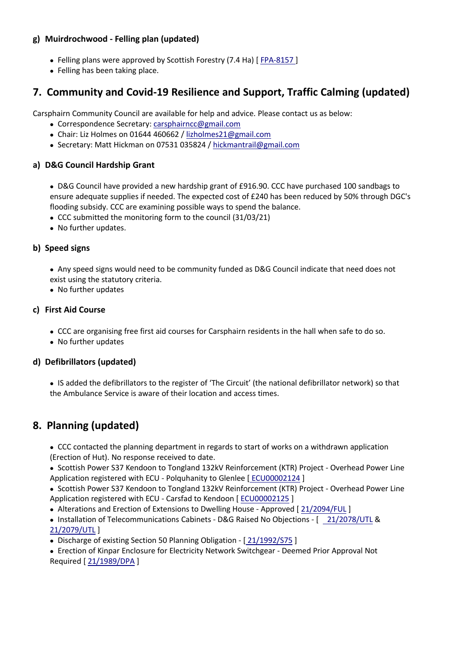## **g) Muirdrochwood - Felling plan (updated)**

- Felling plans were approved by Scottish Forestry (7.4 Ha) [ [FPA-8157](https://casebook.forestry.scot/w/webpage/805BECBF1?context_record_id=22193891&webpage_token=b716c103ca77e4dd94b9c145015e4def1cf24dc74a97ac05266d47dfc613dfd7) ]
- Felling has been taking place.

## **7. Community and Covid-19 Resilience and Support, Traffic Calming (updated)**

Carsphairn Community Council are available for help and advice. Please contact us as below:

- Correspondence Secretary: [carsphairncc@gmail.com](mailto:carsphairncc@gmail.com)
- Chair: Liz Holmes on 01644 460662 / [lizholmes21@gmail.com](mailto:lizholmes21@gmail.com)
- Secretary: Matt Hickman on 07531 035824 / [hickmantrail@gmail.com](mailto:hickmantrail@gmail.com)

## **a) D&G Council Hardship Grant**

 D&G Council have provided a new hardship grant of £916.90. CCC have purchased 100 sandbags to ensure adequate supplies if needed. The expected cost of £240 has been reduced by 50% through DGC's flooding subsidy. CCC are examining possible ways to spend the balance.

- CCC submitted the monitoring form to the council (31/03/21)
- No further updates.

## **b) Speed signs**

 Any speed signs would need to be community funded as D&G Council indicate that need does not exist using the statutory criteria.

• No further updates

### **c) First Aid Course**

- CCC are organising free first aid courses for Carsphairn residents in the hall when safe to do so.
- No further updates

## **d) Defibrillators (updated)**

 IS added the defibrillators to the register of 'The Circuit' (the national defibrillator network) so that the Ambulance Service is aware of their location and access times.

## **8. Planning (updated)**

 CCC contacted the planning department in regards to start of works on a withdrawn application (Erection of Hut). No response received to date.

• Scottish Power S37 Kendoon to Tongland 132kV Reinforcement (KTR) Project - Overhead Power Line Application registered with ECU - Polquhanity to Glenlee [ [ECU00002124](http://www.energyconsents.scot/ApplicationDetails.aspx?cr=ECU00002124) ]

• Scottish Power S37 Kendoon to Tongland 132kV Reinforcement (KTR) Project - Overhead Power Line Application registered with ECU - Carsfad to Kendoon [ [ECU00002125](http://www.energyconsents.scot/ApplicationDetails.aspx?cr=ECU00002125) ]

• Alterations and Erection of Extensions to Dwelling House - Approved [[21/2094/FUL](https://eaccess.dumgal.gov.uk/online-applications/applicationDetails.do?keyVal=R0UU9UGBL9700&activeTab=summary)]

• Installation of Telecommunications Cabinets - D&G Raised No Objections - [ [21/2078/UTL](https://eaccess.dumgal.gov.uk/online-applications/applicationDetails.do?keyVal=R0NX6KGB00O00&activeTab=summary) & 21/2079/UTL ]

Discharge of existing Section 50 Planning Obligation - [ [21/1992/S75](https://eaccess.dumgal.gov.uk/online-applications/applicationDetails.do?keyVal=R03G20GB00O00&activeTab=summary) ]

 Erection of Kinpar Enclosure for Electricity Network Switchgear - Deemed Prior Approval Not Required [ [21/1989/DPA](https://eaccess.dumgal.gov.uk/online-applications/applicationDetails.do?activeTab=summary&keyVal=R03DKDGB00O00) ]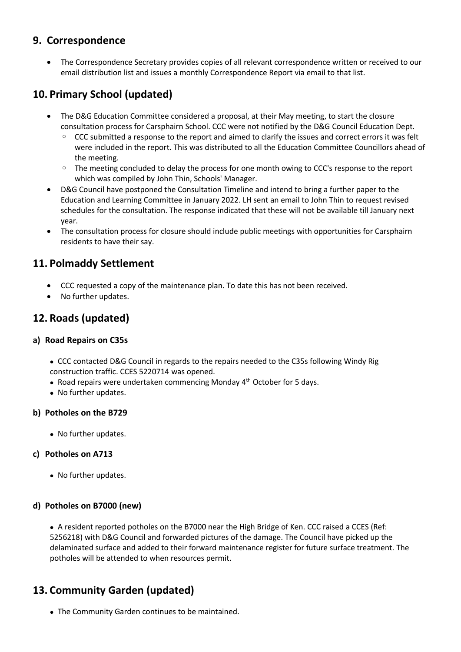## **9. Correspondence**

 The Correspondence Secretary provides copies of all relevant correspondence written or received to our email distribution list and issues a monthly Correspondence Report via email to that list.

## **10. Primary School (updated)**

- The D&G Education Committee considered a proposal, at their May meeting, to start the closure consultation process for Carsphairn School. CCC were not notified by the D&G Council Education Dept.
	- CCC submitted a response to the report and aimed to clarify the issues and correct errors it was felt were included in the report. This was distributed to all the Education Committee Councillors ahead of the meeting.
	- The meeting concluded to delay the process for one month owing to CCC's response to the report which was compiled by John Thin, Schools' Manager.
- D&G Council have postponed the Consultation Timeline and intend to bring a further paper to the Education and Learning Committee in January 2022. LH sent an email to John Thin to request revised schedules for the consultation. The response indicated that these will not be available till January next year.
- The consultation process for closure should include public meetings with opportunities for Carsphairn residents to have their say.

## **11. Polmaddy Settlement**

- CCC requested a copy of the maintenance plan. To date this has not been received.
- No further updates.

## **12. Roads (updated)**

## **a) Road Repairs on C35s**

- CCC contacted D&G Council in regards to the repairs needed to the C35s following Windy Rig construction traffic. CCES 5220714 was opened.
- Road repairs were undertaken commencing Monday 4<sup>th</sup> October for 5 days.
- No further updates.

## **b) Potholes on the B729**

• No further updates.

## **c) Potholes on A713**

• No further updates.

## **d) Potholes on B7000 (new)**

 A resident reported potholes on the B7000 near the High Bridge of Ken. CCC raised a CCES (Ref: 5256218) with D&G Council and forwarded pictures of the damage. The Council have picked up the delaminated surface and added to their forward maintenance register for future surface treatment. The potholes will be attended to when resources permit.

## **13. Community Garden (updated)**

The Community Garden continues to be maintained.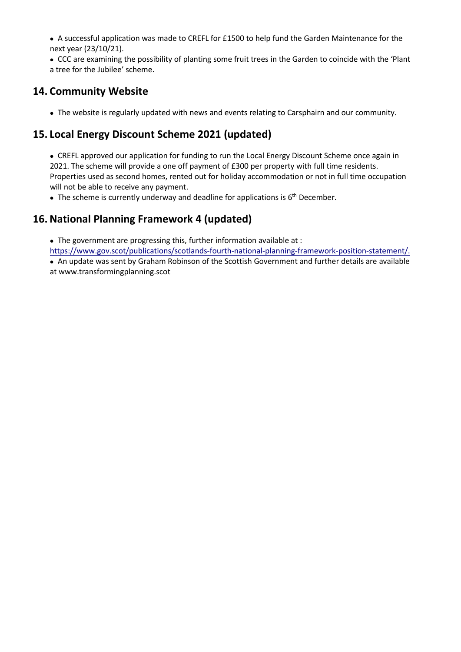• A successful application was made to CREFL for £1500 to help fund the Garden Maintenance for the next year (23/10/21).

 CCC are examining the possibility of planting some fruit trees in the Garden to coincide with the 'Plant a tree for the Jubilee' scheme.

## **14. Community Website**

The website is regularly updated with news and events relating to Carsphairn and ourcommunity.

## **15. Local Energy Discount Scheme 2021 (updated)**

 CREFL approved our application for funding to run the Local Energy Discount Scheme once again in 2021. The scheme will provide a one off payment of £300 per property with full time residents. Properties used as second homes, rented out for holiday accommodation or not in full time occupation will not be able to receive any payment.

 $\bullet$  The scheme is currently underway and deadline for applications is 6<sup>th</sup> December.

## **16. National Planning Framework 4 (updated)**

The government are progressing this, further information available at :

<https://www.gov.scot/publications/scotlands-fourth-national-planning-framework-position-statement/.>

 An update was sent by Graham Robinson of the Scottish Government and further details are available at www.transformingplanning.scot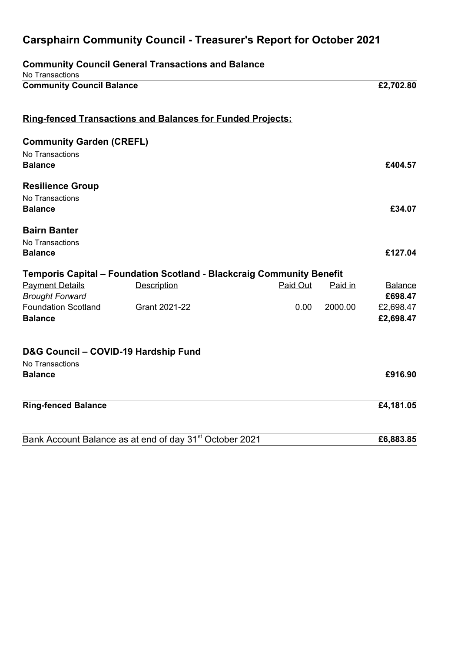# **Carsphairn Community Council - Treasurer's Report for October 2021**

|                                                     | <b>Community Council General Transactions and Balance</b>             |          |         |                           |
|-----------------------------------------------------|-----------------------------------------------------------------------|----------|---------|---------------------------|
| No Transactions<br><b>Community Council Balance</b> |                                                                       |          |         | £2,702.80                 |
|                                                     | <b>Ring-fenced Transactions and Balances for Funded Projects:</b>     |          |         |                           |
| <b>Community Garden (CREFL)</b>                     |                                                                       |          |         |                           |
| No Transactions<br><b>Balance</b>                   |                                                                       |          |         | £404.57                   |
| <b>Resilience Group</b>                             |                                                                       |          |         |                           |
| No Transactions<br><b>Balance</b>                   |                                                                       |          |         | £34.07                    |
| <b>Bairn Banter</b><br>No Transactions              |                                                                       |          |         |                           |
| <b>Balance</b>                                      |                                                                       |          |         | £127.04                   |
|                                                     | Temporis Capital - Foundation Scotland - Blackcraig Community Benefit |          |         |                           |
| <b>Payment Details</b><br><b>Brought Forward</b>    | <b>Description</b>                                                    | Paid Out | Paid in | <b>Balance</b><br>£698.47 |
| <b>Foundation Scotland</b><br><b>Balance</b>        | Grant 2021-22                                                         | 0.00     | 2000.00 | £2,698.47<br>£2,698.47    |
| <b>D&amp;G Council - COVID-19 Hardship Fund</b>     |                                                                       |          |         |                           |
| No Transactions<br><b>Balance</b>                   |                                                                       |          |         | £916.90                   |
|                                                     |                                                                       |          |         |                           |
| <b>Ring-fenced Balance</b>                          |                                                                       |          |         | £4,181.05                 |
|                                                     | Bank Account Balance as at end of day 31 <sup>st</sup> October 2021   |          |         | £6,883.85                 |